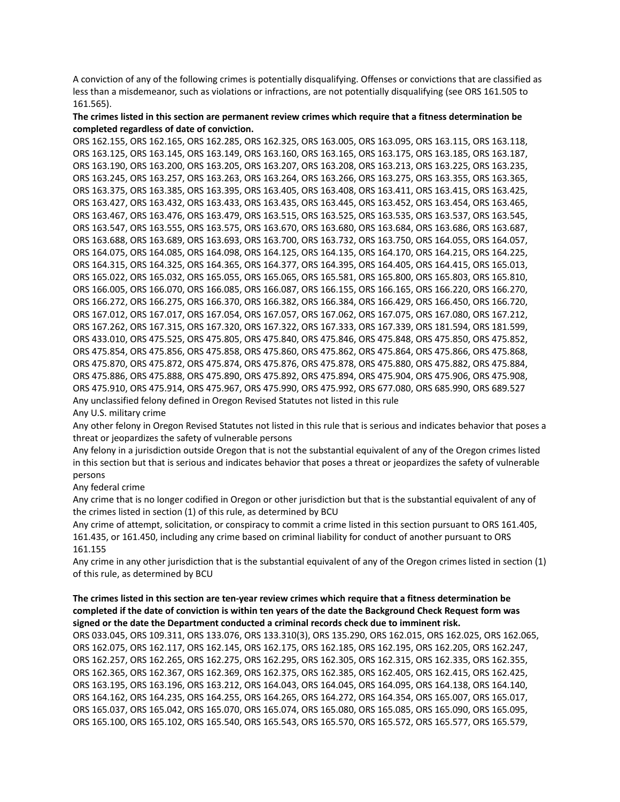A conviction of any of the following crimes is potentially disqualifying. Offenses or convictions that are classified as less than a misdemeanor, such as violations or infractions, are not potentially disqualifying (see ORS 161.505 to 161.565).

## The crimes listed in this section are permanent review crimes which require that a fitness determination be **completed regardless of date of conviction.**

ORS 162.155, ORS 162.165, ORS 162.285, ORS 162.325, ORS 163.005, ORS 163.095, ORS 163.115, ORS 163.118, ORS 163.125, ORS 163.145, ORS 163.149, ORS 163.160, ORS 163.165, ORS 163.175, ORS 163.185, ORS 163.187, ORS 163.190, ORS 163.200, ORS 163.205, ORS 163.207, ORS 163.208, ORS 163.213, ORS 163.225, ORS 163.235, ORS 163.245, ORS 163.257, ORS 163.263, ORS 163.264, ORS 163.266, ORS 163.275, ORS 163.355, ORS 163.365, ORS 163.375, ORS 163.385, ORS 163.395, ORS 163.405, ORS 163.408, ORS 163.411, ORS 163.415, ORS 163.425, ORS 163.427, ORS 163.432, ORS 163.433, ORS 163.435, ORS 163.445, ORS 163.452, ORS 163.454, ORS 163.465, ORS 163.467, ORS 163.476, ORS 163.479, ORS 163.515, ORS 163.525, ORS 163.535, ORS 163.537, ORS 163.545, ORS 163.547, ORS 163.555, ORS 163.575, ORS 163.670, ORS 163.680, ORS 163.684, ORS 163.686, ORS 163.687, ORS 163.688, ORS 163.689, ORS 163.693, ORS 163.700, ORS 163.732, ORS 163.750, ORS 164.055, ORS 164.057, ORS 164.075, ORS 164.085, ORS 164.098, ORS 164.125, ORS 164.135, ORS 164.170, ORS 164.215, ORS 164.225, ORS 164.315, ORS 164.325, ORS 164.365, ORS 164.377, ORS 164.395, ORS 164.405, ORS 164.415, ORS 165.013, ORS 165.022, ORS 165.032, ORS 165.055, ORS 165.065, ORS 165.581, ORS 165.800, ORS 165.803, ORS 165.810, ORS 166.005, ORS 166.070, ORS 166.085, ORS 166.087, ORS 166.155, ORS 166.165, ORS 166.220, ORS 166.270, ORS 166.272, ORS 166.275, ORS 166.370, ORS 166.382, ORS 166.384, ORS 166.429, ORS 166.450, ORS 166.720, ORS 167.012, ORS 167.017, ORS 167.054, ORS 167.057, ORS 167.062, ORS 167.075, ORS 167.080, ORS 167.212, ORS 167.262, ORS 167.315, ORS 167.320, ORS 167.322, ORS 167.333, ORS 167.339, ORS 181.594, ORS 181.599, ORS 433.010, ORS 475.525, ORS 475.805, ORS 475.840, ORS 475.846, ORS 475.848, ORS 475.850, ORS 475.852, ORS 475.854, ORS 475.856, ORS 475.858, ORS 475.860, ORS 475.862, ORS 475.864, ORS 475.866, ORS 475.868, ORS 475.870, ORS 475.872, ORS 475.874, ORS 475.876, ORS 475.878, ORS 475.880, ORS 475.882, ORS 475.884, ORS 475.886, ORS 475.888, ORS 475.890, ORS 475.892, ORS 475.894, ORS 475.904, ORS 475.906, ORS 475.908, ORS 475.910, ORS 475.914, ORS 475.967, ORS 475.990, ORS 475.992, ORS 677.080, ORS 685.990, ORS 689.527 Any unclassified felony defined in Oregon Revised Statutes not listed in this rule

## Any U.S. military crime

Any other felony in Oregon Revised Statutes not listed in this rule that is serious and indicates behavior that poses a threat or jeopardizes the safety of vulnerable persons

Any felony in a jurisdiction outside Oregon that is not the substantial equivalent of any of the Oregon crimes listed in this section but that is serious and indicates behavior that poses a threat or jeopardizes the safety of vulnerable persons

## Any federal crime

Any crime that is no longer codified in Oregon or other jurisdiction but that is the substantial equivalent of any of the crimes listed in section (1) of this rule, as determined by BCU

Any crime of attempt, solicitation, or conspiracy to commit a crime listed in this section pursuant to ORS 161.405, 161.435, or 161.450, including any crime based on criminal liability for conduct of another pursuant to ORS 161.155

Any crime in any other jurisdiction that is the substantial equivalent of any of the Oregon crimes listed in section (1) of this rule, as determined by BCU

## The crimes listed in this section are ten-year review crimes which require that a fitness determination be completed if the date of conviction is within ten years of the date the Background Check Request form was **signed or the date the Department conducted a criminal records check due to imminent risk.**

ORS 033.045, ORS 109.311, ORS 133.076, ORS 133.310(3), ORS 135.290, ORS 162.015, ORS 162.025, ORS 162.065, ORS 162.075, ORS 162.117, ORS 162.145, ORS 162.175, ORS 162.185, ORS 162.195, ORS 162.205, ORS 162.247, ORS 162.257, ORS 162.265, ORS 162.275, ORS 162.295, ORS 162.305, ORS 162.315, ORS 162.335, ORS 162.355, ORS 162.365, ORS 162.367, ORS 162.369, ORS 162.375, ORS 162.385, ORS 162.405, ORS 162.415, ORS 162.425, ORS 163.195, ORS 163.196, ORS 163.212, ORS 164.043, ORS 164.045, ORS 164.095, ORS 164.138, ORS 164.140, ORS 164.162, ORS 164.235, ORS 164.255, ORS 164.265, ORS 164.272, ORS 164.354, ORS 165.007, ORS 165.017, ORS 165.037, ORS 165.042, ORS 165.070, ORS 165.074, ORS 165.080, ORS 165.085, ORS 165.090, ORS 165.095, ORS 165.100, ORS 165.102, ORS 165.540, ORS 165.543, ORS 165.570, ORS 165.572, ORS 165.577, ORS 165.579,